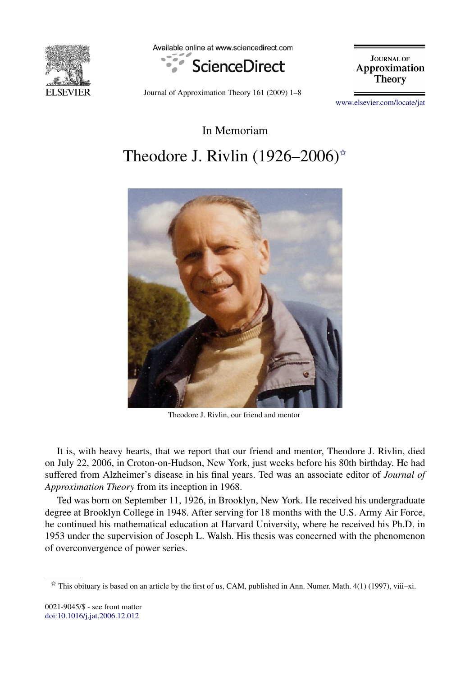<span id="page-0-1"></span>

Available online at www.sciencedirect.com



**JOURNAL OF** Approximation **Theory** 

Journal of Approximation Theory 161 (2009) 1–8

[www.elsevier.com/locate/jat](http://www.elsevier.com/locate/jat)

In Memoriam

# Theodore J. Rivlin  $(1926-2006)$ <sup>\*</sup>



Theodore J. Rivlin, our friend and mentor

It is, with heavy hearts, that we report that our friend and mentor, Theodore J. Rivlin, died on July 22, 2006, in Croton-on-Hudson, New York, just weeks before his 80th birthday. He had suffered from Alzheimer's disease in his final years. Ted was an associate editor of *Journal of Approximation Theory* from its inception in 1968.

Ted was born on September 11, 1926, in Brooklyn, New York. He received his undergraduate degree at Brooklyn College in 1948. After serving for 18 months with the U.S. Army Air Force, he continued his mathematical education at Harvard University, where he received his Ph.D. in 1953 under the supervision of Joseph L. Walsh. His thesis was concerned with the phenomenon of overconvergence of power series.

<span id="page-0-0"></span> $\overrightarrow{a}$  This obituary is based on an article by the first of us, CAM, published in Ann. Numer. Math. 4(1) (1997), viii–xi.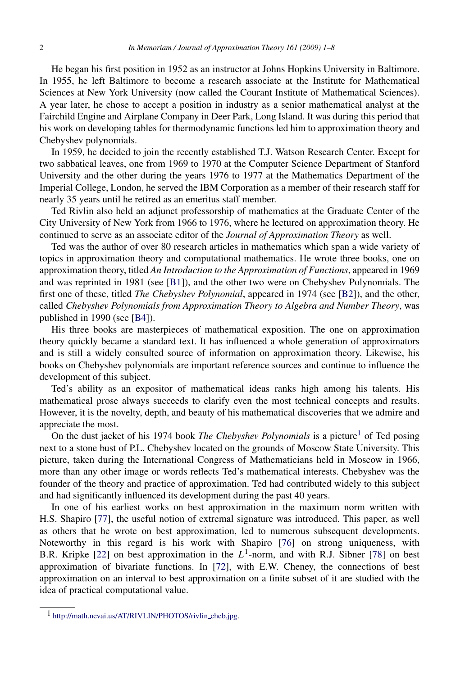He began his first position in 1952 as an instructor at Johns Hopkins University in Baltimore. In 1955, he left Baltimore to become a research associate at the Institute for Mathematical Sciences at New York University (now called the Courant Institute of Mathematical Sciences). A year later, he chose to accept a position in industry as a senior mathematical analyst at the Fairchild Engine and Airplane Company in Deer Park, Long Island. It was during this period that his work on developing tables for thermodynamic functions led him to approximation theory and Chebyshev polynomials.

In 1959, he decided to join the recently established T.J. Watson Research Center. Except for two sabbatical leaves, one from 1969 to 1970 at the Computer Science Department of Stanford University and the other during the years 1976 to 1977 at the Mathematics Department of the Imperial College, London, he served the IBM Corporation as a member of their research staff for nearly 35 years until he retired as an emeritus staff member.

Ted Rivlin also held an adjunct professorship of mathematics at the Graduate Center of the City University of New York from 1966 to 1976, where he lectured on approximation theory. He continued to serve as an associate editor of the *Journal of Approximation Theory* as well.

Ted was the author of over 80 research articles in mathematics which span a wide variety of topics in approximation theory and computational mathematics. He wrote three books, one on approximation theory, titled *An Introduction to the Approximation of Functions*, appeared in 1969 and was reprinted in 1981 (see [\[B1\]](#page-7-0)), and the other two were on Chebyshev Polynomials. The first one of these, titled *The Chebyshev Polynomial*, appeared in 1974 (see [\[B2\]](#page-7-1)), and the other, called *Chebyshev Polynomials from Approximation Theory to Algebra and Number Theory*, was published in 1990 (see [\[B4\]](#page-7-2)).

His three books are masterpieces of mathematical exposition. The one on approximation theory quickly became a standard text. It has influenced a whole generation of approximators and is still a widely consulted source of information on approximation theory. Likewise, his books on Chebyshev polynomials are important reference sources and continue to influence the development of this subject.

Ted's ability as an expositor of mathematical ideas ranks high among his talents. His mathematical prose always succeeds to clarify even the most technical concepts and results. However, it is the novelty, depth, and beauty of his mathematical discoveries that we admire and appreciate the most.

On the dust jacket of his [1](#page-1-0)974 book *The Chebyshev Polynomials* is a picture<sup>1</sup> of Ted posing next to a stone bust of P.L. Chebyshev located on the grounds of Moscow State University. This picture, taken during the International Congress of Mathematicians held in Moscow in 1966, more than any other image or words reflects Ted's mathematical interests. Chebyshev was the founder of the theory and practice of approximation. Ted had contributed widely to this subject and had significantly influenced its development during the past 40 years.

In one of his earliest works on best approximation in the maximum norm written with H.S. Shapiro [\[77\]](#page-7-3), the useful notion of extremal signature was introduced. This paper, as well as others that he wrote on best approximation, led to numerous subsequent developments. Noteworthy in this regard is his work with Shapiro [\[76\]](#page-7-4) on strong uniqueness, with B.R. Kripke  $[22]$  on best approximation in the  $L^1$ -norm, and with R.J. Sibner  $[78]$  on best approximation of bivariate functions. In [\[72\]](#page-7-6), with E.W. Cheney, the connections of best approximation on an interval to best approximation on a finite subset of it are studied with the idea of practical computational value.

<span id="page-1-0"></span><sup>1</sup> [http://math.nevai.us/AT/RIVLIN/PHOTOS/rivlin](#page-0-1) cheb.jpg.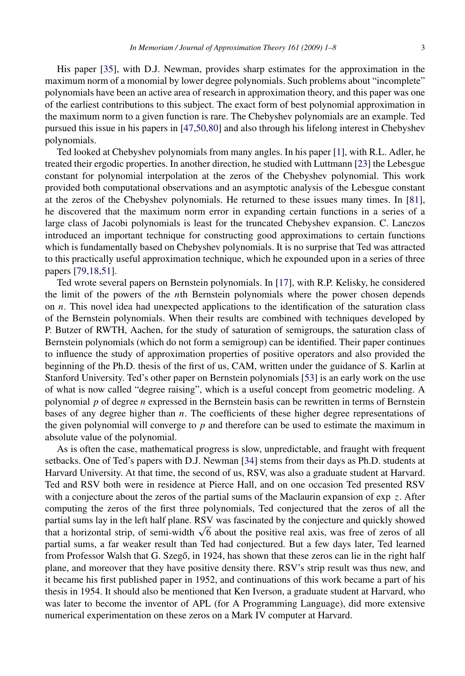His paper [\[35\]](#page-5-1), with D.J. Newman, provides sharp estimates for the approximation in the maximum norm of a monomial by lower degree polynomials. Such problems about "incomplete" polynomials have been an active area of research in approximation theory, and this paper was one of the earliest contributions to this subject. The exact form of best polynomial approximation in the maximum norm to a given function is rare. The Chebyshev polynomials are an example. Ted pursued this issue in his papers in [\[47](#page-6-0)[,50](#page-6-1)[,80\]](#page-7-7) and also through his lifelong interest in Chebyshev polynomials.

Ted looked at Chebyshev polynomials from many angles. In his paper [\[1\]](#page-4-0), with R.L. Adler, he treated their ergodic properties. In another direction, he studied with Luttmann [\[23\]](#page-5-2) the Lebesgue constant for polynomial interpolation at the zeros of the Chebyshev polynomial. This work provided both computational observations and an asymptotic analysis of the Lebesgue constant at the zeros of the Chebyshev polynomials. He returned to these issues many times. In [\[81\]](#page-7-8), he discovered that the maximum norm error in expanding certain functions in a series of a large class of Jacobi polynomials is least for the truncated Chebyshev expansion. C. Lanczos introduced an important technique for constructing good approximations to certain functions which is fundamentally based on Chebyshev polynomials. It is no surprise that Ted was attracted to this practically useful approximation technique, which he expounded upon in a series of three papers [\[79,](#page-7-9)[18,](#page-5-3)[51\]](#page-6-2).

Ted wrote several papers on Bernstein polynomials. In [\[17\]](#page-5-4), with R.P. Kelisky, he considered the limit of the powers of the *n*th Bernstein polynomials where the power chosen depends on *n*. This novel idea had unexpected applications to the identification of the saturation class of the Bernstein polynomials. When their results are combined with techniques developed by P. Butzer of RWTH, Aachen, for the study of saturation of semigroups, the saturation class of Bernstein polynomials (which do not form a semigroup) can be identified. Their paper continues to influence the study of approximation properties of positive operators and also provided the beginning of the Ph.D. thesis of the first of us, CAM, written under the guidance of S. Karlin at Stanford University. Ted's other paper on Bernstein polynomials [\[53\]](#page-6-3) is an early work on the use of what is now called "degree raising", which is a useful concept from geometric modeling. A polynomial *p* of degree *n* expressed in the Bernstein basis can be rewritten in terms of Bernstein bases of any degree higher than *n*. The coefficients of these higher degree representations of the given polynomial will converge to *p* and therefore can be used to estimate the maximum in absolute value of the polynomial.

As is often the case, mathematical progress is slow, unpredictable, and fraught with frequent setbacks. One of Ted's papers with D.J. Newman [\[34\]](#page-5-5) stems from their days as Ph.D. students at Harvard University. At that time, the second of us, RSV, was also a graduate student at Harvard. Ted and RSV both were in residence at Pierce Hall, and on one occasion Ted presented RSV with a conjecture about the zeros of the partial sums of the Maclaurin expansion of exp *z*. After computing the zeros of the first three polynomials, Ted conjectured that the zeros of all the partial sums lay in the left half plane. RSV was fascinated by the conjecture and quickly showed partial sums lay in the left half plane. RSV was fascinated by the conjecture and quickly showed<br>that a horizontal strip, of semi-width  $\sqrt{6}$  about the positive real axis, was free of zeros of all partial sums, a far weaker result than Ted had conjectured. But a few days later, Ted learned from Professor Walsh that G. Szegő, in 1924, has shown that these zeros can lie in the right half plane, and moreover that they have positive density there. RSV's strip result was thus new, and it became his first published paper in 1952, and continuations of this work became a part of his thesis in 1954. It should also be mentioned that Ken Iverson, a graduate student at Harvard, who was later to become the inventor of APL (for A Programming Language), did more extensive numerical experimentation on these zeros on a Mark IV computer at Harvard.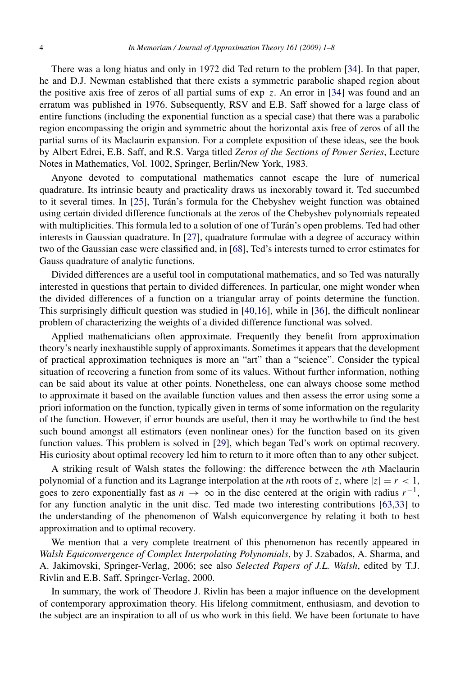There was a long hiatus and only in 1972 did Ted return to the problem [\[34\]](#page-5-5). In that paper, he and D.J. Newman established that there exists a symmetric parabolic shaped region about the positive axis free of zeros of all partial sums of exp *z*. An error in [\[34\]](#page-5-5) was found and an erratum was published in 1976. Subsequently, RSV and E.B. Saff showed for a large class of entire functions (including the exponential function as a special case) that there was a parabolic region encompassing the origin and symmetric about the horizontal axis free of zeros of all the partial sums of its Maclaurin expansion. For a complete exposition of these ideas, see the book by Albert Edrei, E.B. Saff, and R.S. Varga titled *Zeros of the Sections of Power Series*, Lecture Notes in Mathematics, Vol. 1002, Springer, Berlin/New York, 1983.

Anyone devoted to computational mathematics cannot escape the lure of numerical quadrature. Its intrinsic beauty and practicality draws us inexorably toward it. Ted succumbed to it several times. In [\[25\]](#page-5-6), Turán's formula for the Chebyshev weight function was obtained using certain divided difference functionals at the zeros of the Chebyshev polynomials repeated with multiplicities. This formula led to a solution of one of Turán's open problems. Ted had other interests in Gaussian quadrature. In [\[27\]](#page-5-7), quadrature formulae with a degree of accuracy within two of the Gaussian case were classified and, in [\[68\]](#page-6-4), Ted's interests turned to error estimates for Gauss quadrature of analytic functions.

Divided differences are a useful tool in computational mathematics, and so Ted was naturally interested in questions that pertain to divided differences. In particular, one might wonder when the divided differences of a function on a triangular array of points determine the function. This surprisingly difficult question was studied in [\[40,](#page-5-8)[16\]](#page-4-1), while in [\[36\]](#page-5-9), the difficult nonlinear problem of characterizing the weights of a divided difference functional was solved.

Applied mathematicians often approximate. Frequently they benefit from approximation theory's nearly inexhaustible supply of approximants. Sometimes it appears that the development of practical approximation techniques is more an "art" than a "science". Consider the typical situation of recovering a function from some of its values. Without further information, nothing can be said about its value at other points. Nonetheless, one can always choose some method to approximate it based on the available function values and then assess the error using some a priori information on the function, typically given in terms of some information on the regularity of the function. However, if error bounds are useful, then it may be worthwhile to find the best such bound amongst all estimators (even nonlinear ones) for the function based on its given function values. This problem is solved in [\[29\]](#page-5-10), which began Ted's work on optimal recovery. His curiosity about optimal recovery led him to return to it more often than to any other subject.

A striking result of Walsh states the following: the difference between the *n*th Maclaurin polynomial of a function and its Lagrange interpolation at the *n*th roots of *z*, where  $|z| = r < 1$ , goes to zero exponentially fast as  $n \to \infty$  in the disc centered at the origin with radius  $r^{-1}$ , for any function analytic in the unit disc. Ted made two interesting contributions [\[63](#page-6-5)[,33\]](#page-5-11) to the understanding of the phenomenon of Walsh equiconvergence by relating it both to best approximation and to optimal recovery.

We mention that a very complete treatment of this phenomenon has recently appeared in *Walsh Equiconvergence of Complex Interpolating Polynomials*, by J. Szabados, A. Sharma, and A. Jakimovski, Springer-Verlag, 2006; see also *Selected Papers of J.L. Walsh*, edited by T.J. Rivlin and E.B. Saff, Springer-Verlag, 2000.

In summary, the work of Theodore J. Rivlin has been a major influence on the development of contemporary approximation theory. His lifelong commitment, enthusiasm, and devotion to the subject are an inspiration to all of us who work in this field. We have been fortunate to have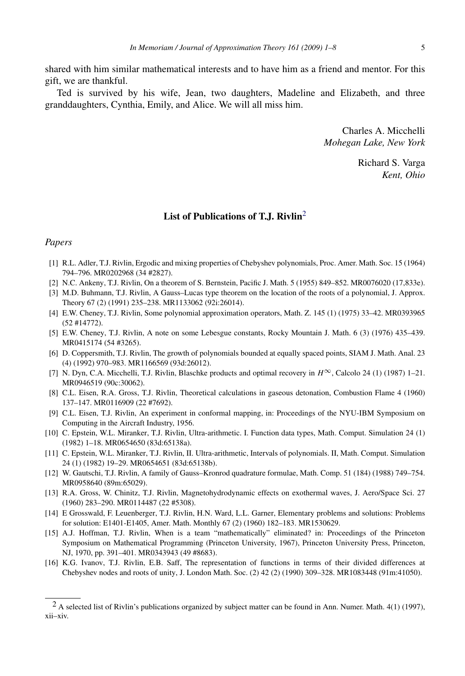Ted is survived by his wife, Jean, two daughters, Madeline and Elizabeth, and three granddaughters, Cynthia, Emily, and Alice. We will all miss him.

> Charles A. Micchelli *Mohegan Lake, New York*

> > Richard S. Varga *Kent, Ohio*

## List of Publications of T.J. Rivlin<sup>[2](#page-4-2)</sup>

#### *Papers*

- <span id="page-4-0"></span>[1] R.L. Adler, T.J. Rivlin, Ergodic and mixing properties of Chebyshev polynomials, Proc. Amer. Math. Soc. 15 (1964) 794–796. MR0202968 (34 #2827).
- [2] N.C. Ankeny, T.J. Rivlin, On a theorem of S. Bernstein, Pacific J. Math. 5 (1955) 849–852. MR0076020 (17,833e).
- [3] M.D. Buhmann, T.J. Rivlin, A Gauss–Lucas type theorem on the location of the roots of a polynomial, J. Approx. Theory 67 (2) (1991) 235–238. MR1133062 (92i:26014).
- [4] E.W. Cheney, T.J. Rivlin, Some polynomial approximation operators, Math. Z. 145 (1) (1975) 33–42. MR0393965 (52 #14772).
- [5] E.W. Cheney, T.J. Rivlin, A note on some Lebesgue constants, Rocky Mountain J. Math. 6 (3) (1976) 435–439. MR0415174 (54 #3265).
- [6] D. Coppersmith, T.J. Rivlin, The growth of polynomials bounded at equally spaced points, SIAM J. Math. Anal. 23 (4) (1992) 970–983. MR1166569 (93d:26012).
- [7] N. Dyn, C.A. Micchelli, T.J. Rivlin, Blaschke products and optimal recovery in *H*∞, Calcolo 24 (1) (1987) 1–21. MR0946519 (90c:30062).
- [8] C.L. Eisen, R.A. Gross, T.J. Rivlin, Theoretical calculations in gaseous detonation, Combustion Flame 4 (1960) 137–147. MR0116909 (22 #7692).
- [9] C.L. Eisen, T.J. Rivlin, An experiment in conformal mapping, in: Proceedings of the NYU-IBM Symposium on Computing in the Aircraft Industry, 1956.
- [10] C. Epstein, W.L. Miranker, T.J. Rivlin, Ultra-arithmetic. I. Function data types, Math. Comput. Simulation 24 (1) (1982) 1–18. MR0654650 (83d:65138a).
- [11] C. Epstein, W.L. Miranker, T.J. Rivlin, II. Ultra-arithmetic, Intervals of polynomials. II, Math. Comput. Simulation 24 (1) (1982) 19–29. MR0654651 (83d:65138b).
- [12] W. Gautschi, T.J. Rivlin, A family of Gauss–Kronrod quadrature formulae, Math. Comp. 51 (184) (1988) 749–754. MR0958640 (89m:65029).
- [13] R.A. Gross, W. Chinitz, T.J. Rivlin, Magnetohydrodynamic effects on exothermal waves, J. Aero/Space Sci. 27 (1960) 283–290. MR0114487 (22 #5308).
- [14] E Grosswald, F. Leuenberger, T.J. Rivlin, H.N. Ward, L.L. Garner, Elementary problems and solutions: Problems for solution: E1401-E1405, Amer. Math. Monthly 67 (2) (1960) 182–183. MR1530629.
- [15] A.J. Hoffman, T.J. Rivlin, When is a team "mathematically" eliminated? in: Proceedings of the Princeton Symposium on Mathematical Programming (Princeton University, 1967), Princeton University Press, Princeton, NJ, 1970, pp. 391–401. MR0343943 (49 #8683).
- <span id="page-4-1"></span>[16] K.G. Ivanov, T.J. Rivlin, E.B. Saff, The representation of functions in terms of their divided differences at Chebyshev nodes and roots of unity, J. London Math. Soc. (2) 42 (2) (1990) 309–328. MR1083448 (91m:41050).

<span id="page-4-2"></span> $2$  A selected list of Rivlin's publications organized by subject matter can be found in Ann. Numer. Math. 4(1) (1997), xii–xiv.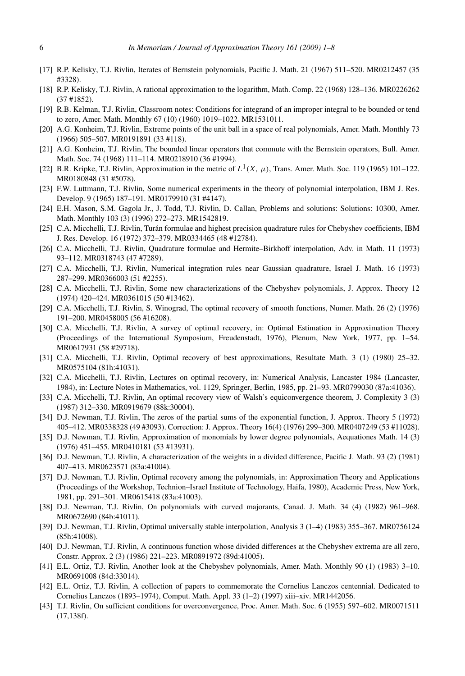- <span id="page-5-4"></span>[17] R.P. Kelisky, T.J. Rivlin, Iterates of Bernstein polynomials, Pacific J. Math. 21 (1967) 511–520. MR0212457 (35 #3328).
- <span id="page-5-3"></span>[18] R.P. Kelisky, T.J. Rivlin, A rational approximation to the logarithm, Math. Comp. 22 (1968) 128–136. MR0226262 (37 #1852).
- [19] R.B. Kelman, T.J. Rivlin, Classroom notes: Conditions for integrand of an improper integral to be bounded or tend to zero, Amer. Math. Monthly 67 (10) (1960) 1019–1022. MR1531011.
- [20] A.G. Konheim, T.J. Rivlin, Extreme points of the unit ball in a space of real polynomials, Amer. Math. Monthly 73 (1966) 505–507. MR0191891 (33 #118).
- [21] A.G. Konheim, T.J. Rivlin, The bounded linear operators that commute with the Bernstein operators, Bull. Amer. Math. Soc. 74 (1968) 111–114. MR0218910 (36 #1994).
- <span id="page-5-0"></span>[22] B.R. Kripke, T.J. Rivlin, Approximation in the metric of  $L^1(X, \mu)$ , Trans. Amer. Math. Soc. 119 (1965) 101–122. MR0180848 (31 #5078).
- <span id="page-5-2"></span>[23] F.W. Luttmann, T.J. Rivlin, Some numerical experiments in the theory of polynomial interpolation, IBM J. Res. Develop. 9 (1965) 187–191. MR0179910 (31 #4147).
- [24] E.H. Mason, S.M. Gagola Jr., J. Todd, T.J. Rivlin, D. Callan, Problems and solutions: Solutions: 10300, Amer. Math. Monthly 103 (3) (1996) 272–273. MR1542819.
- <span id="page-5-6"></span>[25] C.A. Micchelli, T.J. Rivlin, Turán formulae and highest precision quadrature rules for Chebyshev coefficients, IBM J. Res. Develop. 16 (1972) 372–379. MR0334465 (48 #12784).
- [26] C.A. Micchelli, T.J. Rivlin, Quadrature formulae and Hermite–Birkhoff interpolation, Adv. in Math. 11 (1973) 93–112. MR0318743 (47 #7289).
- <span id="page-5-7"></span>[27] C.A. Micchelli, T.J. Rivlin, Numerical integration rules near Gaussian quadrature, Israel J. Math. 16 (1973) 287–299. MR0366003 (51 #2255).
- [28] C.A. Micchelli, T.J. Rivlin, Some new characterizations of the Chebyshev polynomials, J. Approx. Theory 12 (1974) 420–424. MR0361015 (50 #13462).
- <span id="page-5-10"></span>[29] C.A. Micchelli, T.J. Rivlin, S. Winograd, The optimal recovery of smooth functions, Numer. Math. 26 (2) (1976) 191–200. MR0458005 (56 #16208).
- [30] C.A. Micchelli, T.J. Rivlin, A survey of optimal recovery, in: Optimal Estimation in Approximation Theory (Proceedings of the International Symposium, Freudenstadt, 1976), Plenum, New York, 1977, pp. 1–54. MR0617931 (58 #29718).
- [31] C.A. Micchelli, T.J. Rivlin, Optimal recovery of best approximations, Resultate Math. 3 (1) (1980) 25–32. MR0575104 (81h:41031).
- [32] C.A. Micchelli, T.J. Rivlin, Lectures on optimal recovery, in: Numerical Analysis, Lancaster 1984 (Lancaster, 1984), in: Lecture Notes in Mathematics, vol. 1129, Springer, Berlin, 1985, pp. 21–93. MR0799030 (87a:41036).
- <span id="page-5-11"></span>[33] C.A. Micchelli, T.J. Rivlin, An optimal recovery view of Walsh's equiconvergence theorem, J. Complexity 3 (3) (1987) 312–330. MR0919679 (88k:30004).
- <span id="page-5-5"></span>[34] D.J. Newman, T.J. Rivlin, The zeros of the partial sums of the exponential function, J. Approx. Theory 5 (1972) 405–412. MR0338328 (49 #3093). Correction: J. Approx. Theory 16(4) (1976) 299–300. MR0407249 (53 #11028).
- <span id="page-5-1"></span>[35] D.J. Newman, T.J. Rivlin, Approximation of monomials by lower degree polynomials, Aequationes Math. 14 (3) (1976) 451–455. MR0410181 (53 #13931).
- <span id="page-5-9"></span>[36] D.J. Newman, T.J. Rivlin, A characterization of the weights in a divided difference, Pacific J. Math. 93 (2) (1981) 407–413. MR0623571 (83a:41004).
- [37] D.J. Newman, T.J. Rivlin, Optimal recovery among the polynomials, in: Approximation Theory and Applications (Proceedings of the Workshop, Technion–Israel Institute of Technology, Haifa, 1980), Academic Press, New York, 1981, pp. 291–301. MR0615418 (83a:41003).
- [38] D.J. Newman, T.J. Rivlin, On polynomials with curved majorants, Canad. J. Math. 34 (4) (1982) 961–968. MR0672690 (84b:41011).
- [39] D.J. Newman, T.J. Rivlin, Optimal universally stable interpolation, Analysis 3 (1–4) (1983) 355–367. MR0756124 (85h:41008).
- <span id="page-5-8"></span>[40] D.J. Newman, T.J. Rivlin, A continuous function whose divided differences at the Chebyshev extrema are all zero, Constr. Approx. 2 (3) (1986) 221–223. MR0891972 (89d:41005).
- [41] E.L. Ortiz, T.J. Rivlin, Another look at the Chebyshev polynomials, Amer. Math. Monthly 90 (1) (1983) 3–10. MR0691008 (84d:33014).
- [42] E.L. Ortiz, T.J. Rivlin, A collection of papers to commemorate the Cornelius Lanczos centennial. Dedicated to Cornelius Lanczos (1893–1974), Comput. Math. Appl. 33 (1–2) (1997) xiii–xiv. MR1442056.
- [43] T.J. Rivlin, On sufficient conditions for overconvergence, Proc. Amer. Math. Soc. 6 (1955) 597–602. MR0071511 (17,138f).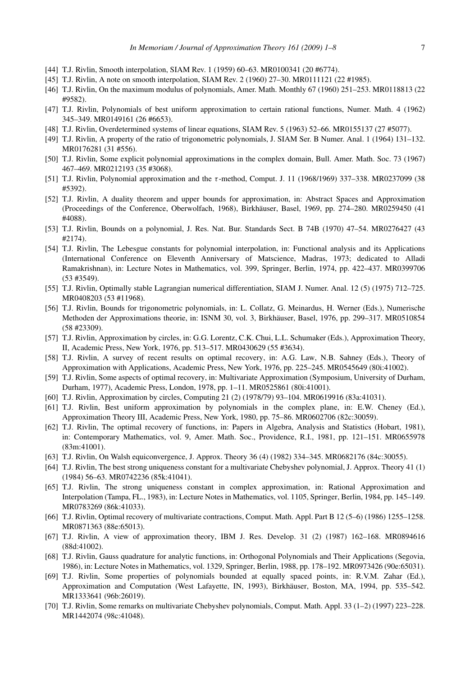- [44] T.J. Rivlin, Smooth interpolation, SIAM Rev. 1 (1959) 60–63. MR0100341 (20 #6774).
- [45] T.J. Rivlin, A note on smooth interpolation, SIAM Rev. 2 (1960) 27–30. MR0111121 (22 #1985).
- [46] T.J. Rivlin, On the maximum modulus of polynomials, Amer. Math. Monthly 67 (1960) 251–253. MR0118813 (22 #9582).
- <span id="page-6-0"></span>[47] T.J. Rivlin, Polynomials of best uniform approximation to certain rational functions, Numer. Math. 4 (1962) 345–349. MR0149161 (26 #6653).
- [48] T.J. Rivlin, Overdetermined systems of linear equations, SIAM Rev. 5 (1963) 52–66. MR0155137 (27 #5077).
- [49] T.J. Rivlin, A property of the ratio of trigonometric polynomials, J. SIAM Ser. B Numer. Anal. 1 (1964) 131–132. MR0176281 (31 #556).
- <span id="page-6-1"></span>[50] T.J. Rivlin, Some explicit polynomial approximations in the complex domain, Bull. Amer. Math. Soc. 73 (1967) 467–469. MR0212193 (35 #3068).
- <span id="page-6-2"></span>[51] T.J. Rivlin, Polynomial approximation and the τ -method, Comput. J. 11 (1968/1969) 337–338. MR0237099 (38 #5392).
- [52] T.J. Rivlin, A duality theorem and upper bounds for approximation, in: Abstract Spaces and Approximation (Proceedings of the Conference, Oberwolfach, 1968), Birkhauser, Basel, 1969, pp. 274–280. MR0259450 (41 ¨ #4088).
- <span id="page-6-3"></span>[53] T.J. Rivlin, Bounds on a polynomial, J. Res. Nat. Bur. Standards Sect. B 74B (1970) 47–54. MR0276427 (43 #2174).
- [54] T.J. Rivlin, The Lebesgue constants for polynomial interpolation, in: Functional analysis and its Applications (International Conference on Eleventh Anniversary of Matscience, Madras, 1973; dedicated to Alladi Ramakrishnan), in: Lecture Notes in Mathematics, vol. 399, Springer, Berlin, 1974, pp. 422–437. MR0399706 (53 #3549).
- [55] T.J. Rivlin, Optimally stable Lagrangian numerical differentiation, SIAM J. Numer. Anal. 12 (5) (1975) 712–725. MR0408203 (53 #11968).
- [56] T.J. Rivlin, Bounds for trigonometric polynomials, in: L. Collatz, G. Meinardus, H. Werner (Eds.), Numerische Methoden der Approximations theorie, in: ISNM 30, vol. 3, Birkhauser, Basel, 1976, pp. 299–317. MR0510854 ¨ (58 #23309).
- [57] T.J. Rivlin, Approximation by circles, in: G.G. Lorentz, C.K. Chui, L.L. Schumaker (Eds.), Approximation Theory, II, Academic Press, New York, 1976, pp. 513–517. MR0430629 (55 #3634).
- [58] T.J. Rivlin, A survey of recent results on optimal recovery, in: A.G. Law, N.B. Sahney (Eds.), Theory of Approximation with Applications, Academic Press, New York, 1976, pp. 225–245. MR0545649 (80i:41002).
- [59] T.J. Rivlin, Some aspects of optimal recovery, in: Multivariate Approximation (Symposium, University of Durham, Durham, 1977), Academic Press, London, 1978, pp. 1–11. MR0525861 (80i:41001).
- [60] T.J. Rivlin, Approximation by circles, Computing 21 (2) (1978/79) 93–104. MR0619916 (83a:41031).
- [61] T.J. Rivlin, Best uniform approximation by polynomials in the complex plane, in: E.W. Cheney (Ed.), Approximation Theory III, Academic Press, New York, 1980, pp. 75–86. MR0602706 (82c:30059).
- [62] T.J. Rivlin, The optimal recovery of functions, in: Papers in Algebra, Analysis and Statistics (Hobart, 1981), in: Contemporary Mathematics, vol. 9, Amer. Math. Soc., Providence, R.I., 1981, pp. 121–151. MR0655978 (83m:41001).
- <span id="page-6-5"></span>[63] T.J. Rivlin, On Walsh equiconvergence, J. Approx. Theory 36 (4) (1982) 334–345. MR0682176 (84c:30055).
- [64] T.J. Rivlin, The best strong uniqueness constant for a multivariate Chebyshev polynomial, J. Approx. Theory 41 (1) (1984) 56–63. MR0742236 (85k:41041).
- [65] T.J. Rivlin, The strong uniqueness constant in complex approximation, in: Rational Approximation and Interpolation (Tampa, FL., 1983), in: Lecture Notes in Mathematics, vol. 1105, Springer, Berlin, 1984, pp. 145–149. MR0783269 (86k:41033).
- [66] T.J. Rivlin, Optimal recovery of multivariate contractions, Comput. Math. Appl. Part B 12 (5–6) (1986) 1255–1258. MR0871363 (88e:65013).
- [67] T.J. Rivlin, A view of approximation theory, IBM J. Res. Develop. 31 (2) (1987) 162–168. MR0894616 (88d:41002).
- <span id="page-6-4"></span>[68] T.J. Rivlin, Gauss quadrature for analytic functions, in: Orthogonal Polynomials and Their Applications (Segovia, 1986), in: Lecture Notes in Mathematics, vol. 1329, Springer, Berlin, 1988, pp. 178–192. MR0973426 (90e:65031).
- [69] T.J. Rivlin, Some properties of polynomials bounded at equally spaced points, in: R.V.M. Zahar (Ed.), Approximation and Computation (West Lafayette, IN, 1993), Birkhauser, Boston, MA, 1994, pp. 535–542. ¨ MR1333641 (96b:26019).
- [70] T.J. Rivlin, Some remarks on multivariate Chebyshev polynomials, Comput. Math. Appl. 33 (1–2) (1997) 223–228. MR1442074 (98c:41048).